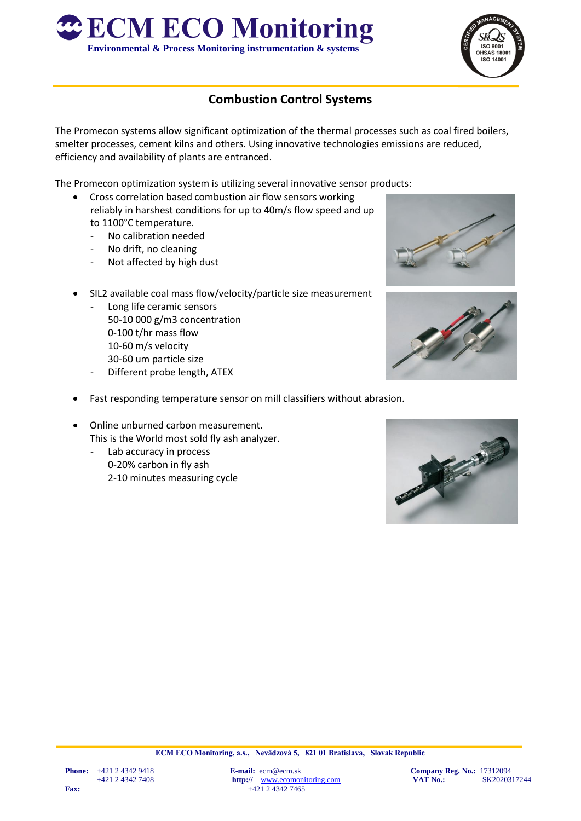



## **Combustion Control Systems**

The Promecon systems allow significant optimization of the thermal processes such as coal fired boilers, smelter processes, cement kilns and others. Using innovative technologies emissions are reduced, efficiency and availability of plants are entranced.

The Promecon optimization system is utilizing several innovative sensor products:

- Cross correlation based combustion air flow sensors working reliably in harshest conditions for up to 40m/s flow speed and up to 1100°C temperature.
	- No calibration needed
	- No drift, no cleaning
	- Not affected by high dust
- SIL2 available coal mass flow/velocity/particle size measurement
	- Long life ceramic sensors 50-10 000 g/m3 concentration 0-100 t/hr mass flow 10-60 m/s velocity 30-60 um particle size
	- Different probe length, ATEX
- Fast responding temperature sensor on mill classifiers without abrasion.
- Online unburned carbon measurement. This is the World most sold fly ash analyzer.
	- Lab accuracy in process 0-20% carbon in fly ash 2-10 minutes measuring cycle